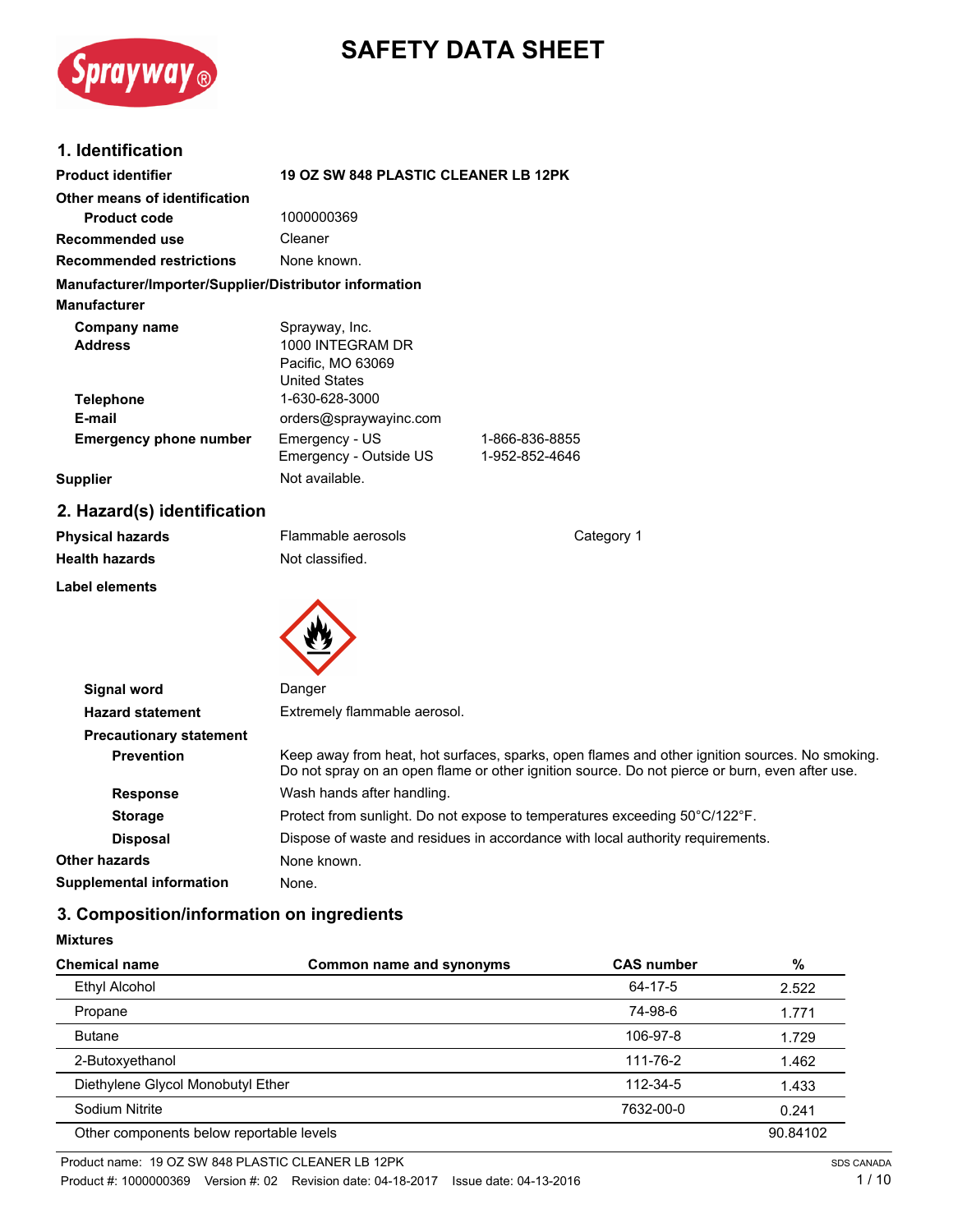

# **SAFETY DATA SHEET**

## **1. Identification**

| <b>Product identifier</b>                              | <b>19 OZ SW 848 PLASTIC CLEANER LB 12PK</b>                                     |                |
|--------------------------------------------------------|---------------------------------------------------------------------------------|----------------|
| Other means of identification                          |                                                                                 |                |
| <b>Product code</b>                                    | 1000000369                                                                      |                |
| Recommended use                                        | Cleaner                                                                         |                |
| <b>Recommended restrictions</b>                        | None known.                                                                     |                |
| Manufacturer/Importer/Supplier/Distributor information |                                                                                 |                |
| <b>Manufacturer</b>                                    |                                                                                 |                |
| Company name<br><b>Address</b>                         | Sprayway, Inc.<br>1000 INTEGRAM DR<br>Pacific, MO 63069<br><b>United States</b> |                |
| <b>Telephone</b>                                       | 1-630-628-3000                                                                  |                |
| E-mail                                                 | orders@spraywayinc.com                                                          |                |
| <b>Emergency phone number</b>                          | Emergency - US                                                                  | 1-866-836-8855 |
|                                                        | Emergency - Outside US                                                          | 1-952-852-4646 |
| <b>Supplier</b>                                        | Not available.                                                                  |                |

## **2. Hazard(s) identification**

| <b>Physical hazards</b><br><b>Health hazards</b> | Flammable aerosols<br>Not classified. | Category 1 |
|--------------------------------------------------|---------------------------------------|------------|
| <b>Label elements</b>                            |                                       |            |
|                                                  |                                       |            |
| Signal word                                      | Danger                                |            |
| <b>Hazard statement</b>                          | Extremely flammable aerosol.          |            |
| Drogoutionary ototomont                          |                                       |            |

| <b>Hazard statement</b>         | Extremely flammable aerosol.                                                                                                                                                                     |
|---------------------------------|--------------------------------------------------------------------------------------------------------------------------------------------------------------------------------------------------|
| <b>Precautionary statement</b>  |                                                                                                                                                                                                  |
| <b>Prevention</b>               | Keep away from heat, hot surfaces, sparks, open flames and other ignition sources. No smoking.<br>Do not spray on an open flame or other ignition source. Do not pierce or burn, even after use. |
| <b>Response</b>                 | Wash hands after handling.                                                                                                                                                                       |
| <b>Storage</b>                  | Protect from sunlight. Do not expose to temperatures exceeding 50°C/122°F.                                                                                                                       |
| <b>Disposal</b>                 | Dispose of waste and residues in accordance with local authority requirements.                                                                                                                   |
| Other hazards                   | None known.                                                                                                                                                                                      |
| <b>Supplemental information</b> | None.                                                                                                                                                                                            |
|                                 |                                                                                                                                                                                                  |

## **3. Composition/information on ingredients**

#### **Mixtures**

| <b>Chemical name</b>                     | Common name and synonyms | <b>CAS number</b> | %        |
|------------------------------------------|--------------------------|-------------------|----------|
| Ethyl Alcohol                            |                          | 64-17-5           | 2.522    |
| Propane                                  |                          | 74-98-6           | 1.771    |
| <b>Butane</b>                            |                          | 106-97-8          | 1.729    |
| 2-Butoxyethanol                          |                          | 111-76-2          | 1.462    |
| Diethylene Glycol Monobutyl Ether        |                          | 112-34-5          | 1.433    |
| Sodium Nitrite                           |                          | 7632-00-0         | 0.241    |
| Other components below reportable levels |                          |                   | 90.84102 |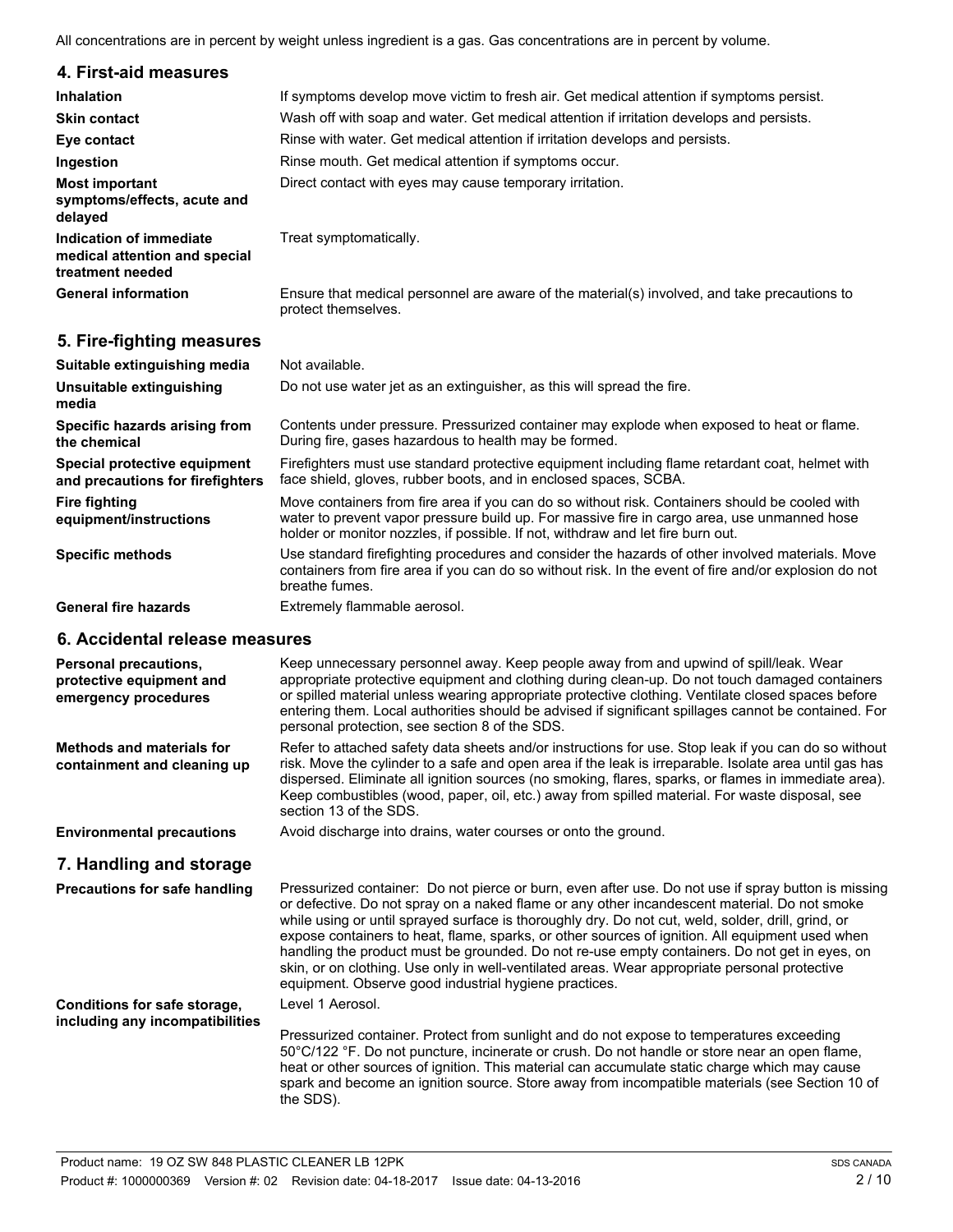All concentrations are in percent by weight unless ingredient is a gas. Gas concentrations are in percent by volume.

| 4. First-aid measures                                                        |                                                                                                                                                                                                                                                                                  |
|------------------------------------------------------------------------------|----------------------------------------------------------------------------------------------------------------------------------------------------------------------------------------------------------------------------------------------------------------------------------|
| <b>Inhalation</b>                                                            | If symptoms develop move victim to fresh air. Get medical attention if symptoms persist.                                                                                                                                                                                         |
| <b>Skin contact</b>                                                          | Wash off with soap and water. Get medical attention if irritation develops and persists.                                                                                                                                                                                         |
| Eye contact                                                                  | Rinse with water. Get medical attention if irritation develops and persists.                                                                                                                                                                                                     |
| Ingestion                                                                    | Rinse mouth. Get medical attention if symptoms occur.                                                                                                                                                                                                                            |
| <b>Most important</b><br>symptoms/effects, acute and<br>delayed              | Direct contact with eyes may cause temporary irritation.                                                                                                                                                                                                                         |
| Indication of immediate<br>medical attention and special<br>treatment needed | Treat symptomatically.                                                                                                                                                                                                                                                           |
| <b>General information</b>                                                   | Ensure that medical personnel are aware of the material(s) involved, and take precautions to<br>protect themselves.                                                                                                                                                              |
| 5. Fire-fighting measures                                                    |                                                                                                                                                                                                                                                                                  |
| Suitable extinguishing media                                                 | Not available.                                                                                                                                                                                                                                                                   |
| Unsuitable extinguishing<br>media                                            | Do not use water jet as an extinguisher, as this will spread the fire.                                                                                                                                                                                                           |
| Specific hazards arising from<br>the chemical                                | Contents under pressure. Pressurized container may explode when exposed to heat or flame.<br>During fire, gases hazardous to health may be formed.                                                                                                                               |
| Special protective equipment<br>and precautions for firefighters             | Firefighters must use standard protective equipment including flame retardant coat, helmet with<br>face shield, gloves, rubber boots, and in enclosed spaces, SCBA.                                                                                                              |
| <b>Fire fighting</b><br>equipment/instructions                               | Move containers from fire area if you can do so without risk. Containers should be cooled with<br>water to prevent vapor pressure build up. For massive fire in cargo area, use unmanned hose<br>holder or monitor nozzles, if possible. If not, withdraw and let fire burn out. |

**Specific methods**

General fire hazards **Extremely flammable aerosol.** 

#### **6. Accidental release measures**

| Personal precautions,<br>protective equipment and<br>emergency procedures | Keep unnecessary personnel away. Keep people away from and upwind of spill/leak. Wear<br>appropriate protective equipment and clothing during clean-up. Do not touch damaged containers<br>or spilled material unless wearing appropriate protective clothing. Ventilate closed spaces before<br>entering them. Local authorities should be advised if significant spillages cannot be contained. For<br>personal protection, see section 8 of the SDS.                                                                                                                                                                                                                 |
|---------------------------------------------------------------------------|-------------------------------------------------------------------------------------------------------------------------------------------------------------------------------------------------------------------------------------------------------------------------------------------------------------------------------------------------------------------------------------------------------------------------------------------------------------------------------------------------------------------------------------------------------------------------------------------------------------------------------------------------------------------------|
| <b>Methods and materials for</b><br>containment and cleaning up           | Refer to attached safety data sheets and/or instructions for use. Stop leak if you can do so without<br>risk. Move the cylinder to a safe and open area if the leak is irreparable. Isolate area until gas has<br>dispersed. Eliminate all ignition sources (no smoking, flares, sparks, or flames in immediate area).<br>Keep combustibles (wood, paper, oil, etc.) away from spilled material. For waste disposal, see<br>section 13 of the SDS.                                                                                                                                                                                                                      |
| <b>Environmental precautions</b>                                          | Avoid discharge into drains, water courses or onto the ground.                                                                                                                                                                                                                                                                                                                                                                                                                                                                                                                                                                                                          |
| 7. Handling and storage                                                   |                                                                                                                                                                                                                                                                                                                                                                                                                                                                                                                                                                                                                                                                         |
| <b>Precautions for safe handling</b>                                      | Pressurized container: Do not pierce or burn, even after use. Do not use if spray button is missing<br>or defective. Do not spray on a naked flame or any other incandescent material. Do not smoke<br>while using or until sprayed surface is thoroughly dry. Do not cut, weld, solder, drill, grind, or<br>expose containers to heat, flame, sparks, or other sources of ignition. All equipment used when<br>handling the product must be grounded. Do not re-use empty containers. Do not get in eyes, on<br>skin, or on clothing. Use only in well-ventilated areas. Wear appropriate personal protective<br>equipment. Observe good industrial hygiene practices. |
| Conditions for safe storage,                                              | Level 1 Aerosol.                                                                                                                                                                                                                                                                                                                                                                                                                                                                                                                                                                                                                                                        |
| including any incompatibilities                                           | Pressurized container. Protect from sunlight and do not expose to temperatures exceeding<br>50°C/122 °F. Do not puncture, incinerate or crush. Do not handle or store near an open flame,<br>heat or other sources of ignition. This material can accumulate static charge which may cause<br>spark and become an ignition source. Store away from incompatible materials (see Section 10 of<br>the SDS).                                                                                                                                                                                                                                                               |

Use standard firefighting procedures and consider the hazards of other involved materials. Move containers from fire area if you can do so without risk. In the event of fire and/or explosion do not

breathe fumes.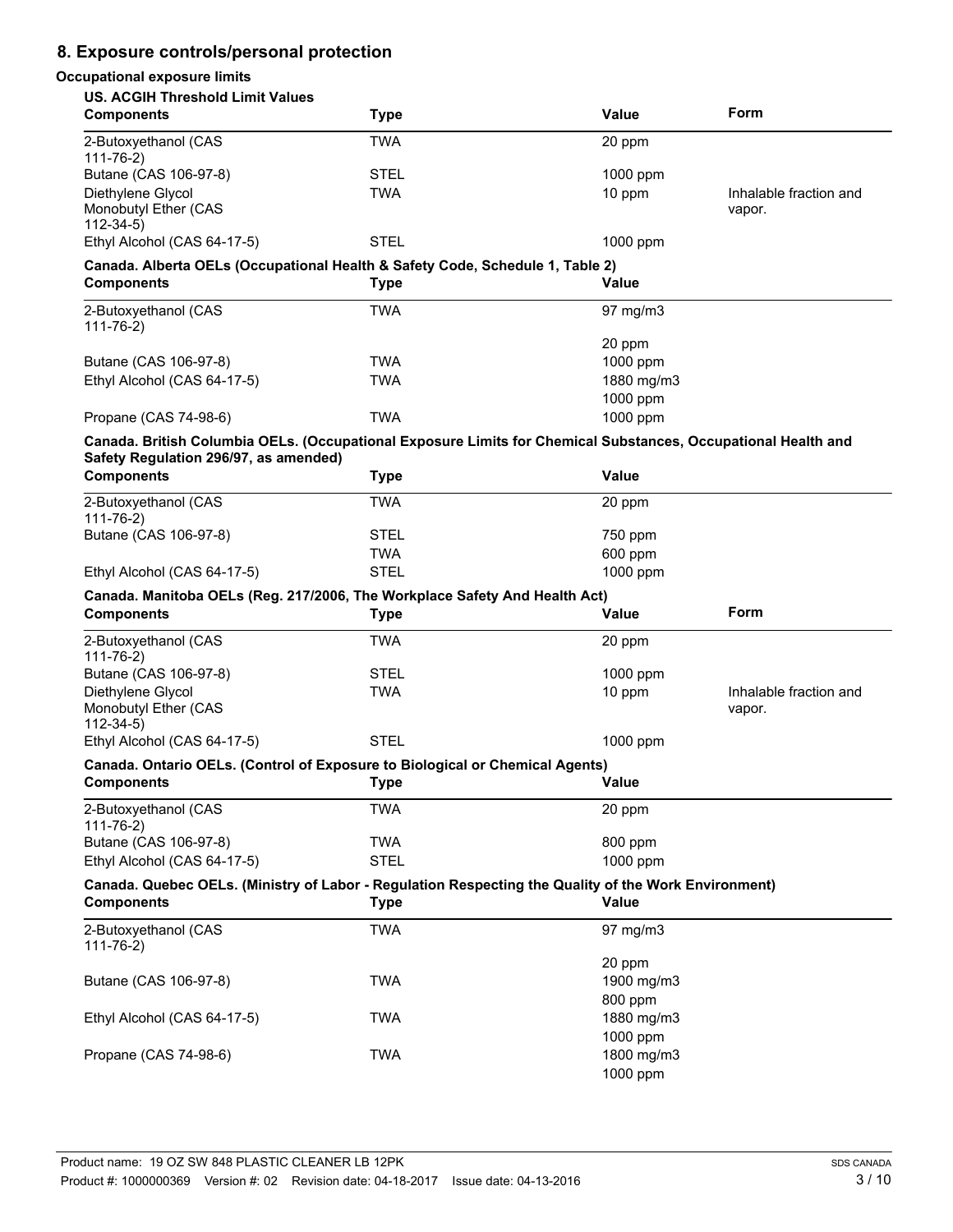## **8. Exposure controls/personal protection**

## **Occupational exposure limits**

| <b>US. ACGIH Threshold Limit Values</b>                                                                                                                |             |                   |                        |
|--------------------------------------------------------------------------------------------------------------------------------------------------------|-------------|-------------------|------------------------|
| <b>Components</b>                                                                                                                                      | <b>Type</b> | <b>Value</b>      | Form                   |
| 2-Butoxyethanol (CAS<br>$111 - 76 - 2)$                                                                                                                | <b>TWA</b>  | 20 ppm            |                        |
| Butane (CAS 106-97-8)                                                                                                                                  | <b>STEL</b> | 1000 ppm          |                        |
| Diethylene Glycol                                                                                                                                      | <b>TWA</b>  | 10 ppm            | Inhalable fraction and |
| Monobutyl Ether (CAS<br>$112 - 34 - 5$                                                                                                                 |             |                   | vapor.                 |
| Ethyl Alcohol (CAS 64-17-5)                                                                                                                            | <b>STEL</b> | $1000$ ppm        |                        |
| Canada. Alberta OELs (Occupational Health & Safety Code, Schedule 1, Table 2)                                                                          |             |                   |                        |
| <b>Components</b>                                                                                                                                      | <b>Type</b> | Value             |                        |
| 2-Butoxyethanol (CAS<br>$111 - 76 - 2)$                                                                                                                | <b>TWA</b>  | $97 \text{ mg/m}$ |                        |
|                                                                                                                                                        |             | 20 ppm            |                        |
| Butane (CAS 106-97-8)                                                                                                                                  | <b>TWA</b>  | 1000 ppm          |                        |
| Ethyl Alcohol (CAS 64-17-5)                                                                                                                            | <b>TWA</b>  | 1880 mg/m3        |                        |
|                                                                                                                                                        |             | 1000 ppm          |                        |
| Propane (CAS 74-98-6)                                                                                                                                  | <b>TWA</b>  | 1000 ppm          |                        |
| Canada. British Columbia OELs. (Occupational Exposure Limits for Chemical Substances, Occupational Health and<br>Safety Regulation 296/97, as amended) |             |                   |                        |
| <b>Components</b>                                                                                                                                      | <b>Type</b> | <b>Value</b>      |                        |
| 2-Butoxyethanol (CAS<br>$111 - 76 - 2)$                                                                                                                | <b>TWA</b>  | 20 ppm            |                        |
| Butane (CAS 106-97-8)                                                                                                                                  | <b>STEL</b> | 750 ppm           |                        |
|                                                                                                                                                        | <b>TWA</b>  | 600 ppm           |                        |
| Ethyl Alcohol (CAS 64-17-5)                                                                                                                            | <b>STEL</b> | 1000 ppm          |                        |
|                                                                                                                                                        |             |                   |                        |
| Canada. Manitoba OELs (Reg. 217/2006, The Workplace Safety And Health Act)                                                                             |             |                   |                        |
| <b>Components</b>                                                                                                                                      | <b>Type</b> | Value             | Form                   |
| 2-Butoxyethanol (CAS                                                                                                                                   | <b>TWA</b>  | 20 ppm            |                        |
| $111 - 76 - 2)$                                                                                                                                        | <b>STEL</b> |                   |                        |
| Butane (CAS 106-97-8)                                                                                                                                  | <b>TWA</b>  | 1000 ppm          | Inhalable fraction and |
| Diethylene Glycol<br>Monobutyl Ether (CAS                                                                                                              |             | 10 ppm            | vapor.                 |
| $112 - 34 - 5$<br>Ethyl Alcohol (CAS 64-17-5)                                                                                                          | <b>STEL</b> | 1000 ppm          |                        |
|                                                                                                                                                        |             |                   |                        |
| Canada. Ontario OELs. (Control of Exposure to Biological or Chemical Agents)                                                                           |             |                   |                        |
| <b>Components</b>                                                                                                                                      | <b>Type</b> | Value             |                        |
| 2-Butoxyethanol (CAS<br>$111 - 76 - 2)$                                                                                                                | <b>TWA</b>  | 20 ppm            |                        |
| Butane (CAS 106-97-8)                                                                                                                                  | <b>TWA</b>  | 800 ppm           |                        |
| Ethyl Alcohol (CAS 64-17-5)                                                                                                                            | <b>STEL</b> | 1000 ppm          |                        |
| Canada. Quebec OELs. (Ministry of Labor - Regulation Respecting the Quality of the Work Environment)                                                   |             |                   |                        |
| <b>Components</b>                                                                                                                                      | <b>Type</b> | <b>Value</b>      |                        |
| 2-Butoxyethanol (CAS                                                                                                                                   | <b>TWA</b>  | 97 mg/m3          |                        |
| $111 - 76 - 2)$                                                                                                                                        |             | 20 ppm            |                        |
| Butane (CAS 106-97-8)                                                                                                                                  | <b>TWA</b>  | 1900 mg/m3        |                        |
|                                                                                                                                                        |             | 800 ppm           |                        |
| Ethyl Alcohol (CAS 64-17-5)                                                                                                                            | <b>TWA</b>  | 1880 mg/m3        |                        |
|                                                                                                                                                        |             | 1000 ppm          |                        |
| Propane (CAS 74-98-6)                                                                                                                                  | <b>TWA</b>  | 1800 mg/m3        |                        |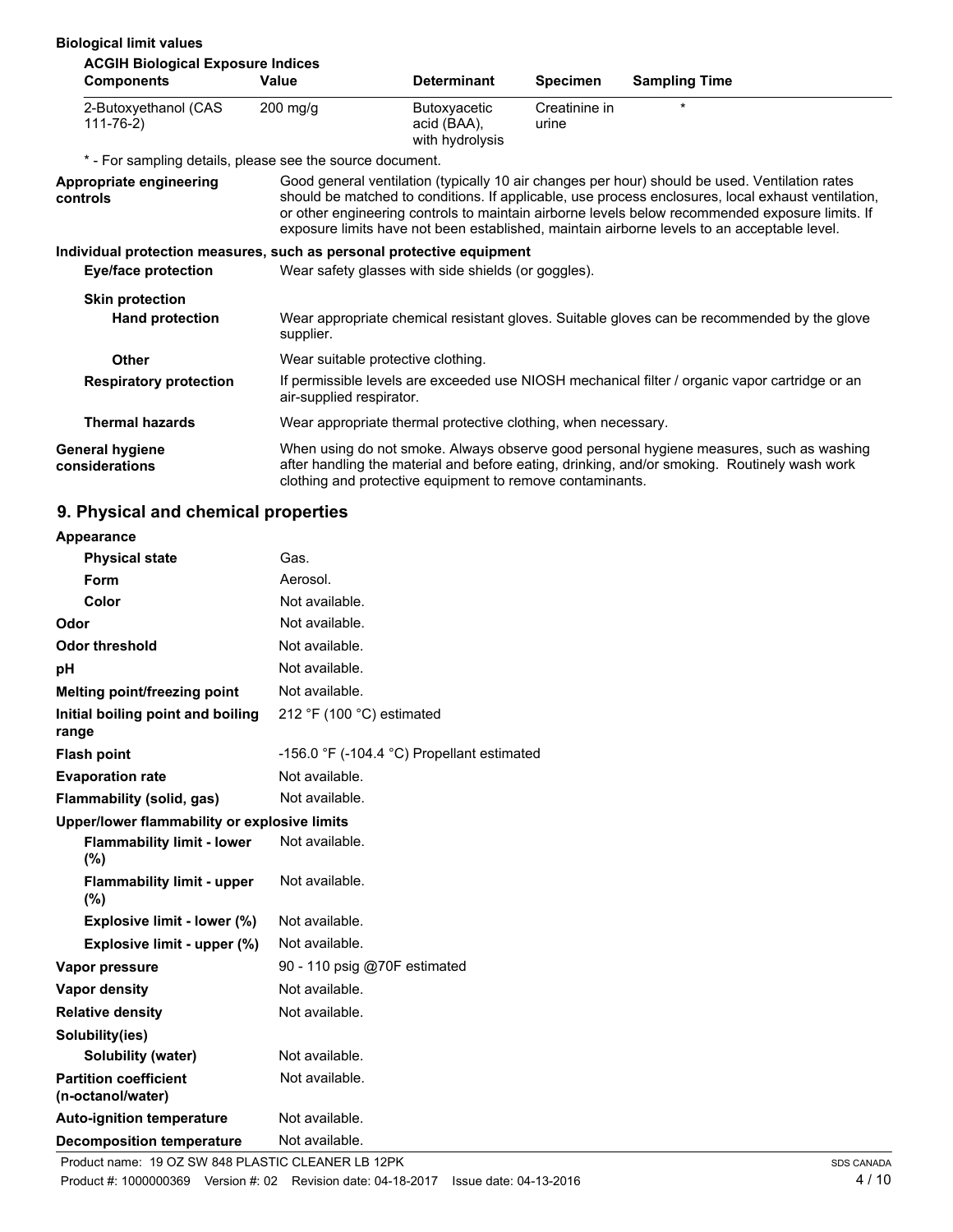#### **Biological limit values**

| <b>ACGIH Biological Exposure Indices</b>                              |                                                               |                                                |                        |                                                                                                                                                                                                                                                                                                                                                                                                        |
|-----------------------------------------------------------------------|---------------------------------------------------------------|------------------------------------------------|------------------------|--------------------------------------------------------------------------------------------------------------------------------------------------------------------------------------------------------------------------------------------------------------------------------------------------------------------------------------------------------------------------------------------------------|
| <b>Components</b>                                                     | Value                                                         | <b>Determinant</b>                             | <b>Specimen</b>        | <b>Sampling Time</b>                                                                                                                                                                                                                                                                                                                                                                                   |
| 2-Butoxyethanol (CAS<br>$111 - 76 - 2)$                               | $200$ mg/g                                                    | Butoxyacetic<br>acid (BAA),<br>with hydrolysis | Creatinine in<br>urine | $\star$                                                                                                                                                                                                                                                                                                                                                                                                |
| * - For sampling details, please see the source document.             |                                                               |                                                |                        |                                                                                                                                                                                                                                                                                                                                                                                                        |
| Appropriate engineering<br>controls                                   |                                                               |                                                |                        | Good general ventilation (typically 10 air changes per hour) should be used. Ventilation rates<br>should be matched to conditions. If applicable, use process enclosures, local exhaust ventilation,<br>or other engineering controls to maintain airborne levels below recommended exposure limits. If<br>exposure limits have not been established, maintain airborne levels to an acceptable level. |
| Individual protection measures, such as personal protective equipment |                                                               |                                                |                        |                                                                                                                                                                                                                                                                                                                                                                                                        |
| Eye/face protection                                                   | Wear safety glasses with side shields (or goggles).           |                                                |                        |                                                                                                                                                                                                                                                                                                                                                                                                        |
| <b>Skin protection</b>                                                |                                                               |                                                |                        |                                                                                                                                                                                                                                                                                                                                                                                                        |
| <b>Hand protection</b>                                                | supplier.                                                     |                                                |                        | Wear appropriate chemical resistant gloves. Suitable gloves can be recommended by the glove                                                                                                                                                                                                                                                                                                            |
| <b>Other</b>                                                          | Wear suitable protective clothing.                            |                                                |                        |                                                                                                                                                                                                                                                                                                                                                                                                        |
| <b>Respiratory protection</b>                                         | air-supplied respirator.                                      |                                                |                        | If permissible levels are exceeded use NIOSH mechanical filter / organic vapor cartridge or an                                                                                                                                                                                                                                                                                                         |
| <b>Thermal hazards</b>                                                | Wear appropriate thermal protective clothing, when necessary. |                                                |                        |                                                                                                                                                                                                                                                                                                                                                                                                        |
| <b>General hygiene</b><br>considerations                              | clothing and protective equipment to remove contaminants.     |                                                |                        | When using do not smoke. Always observe good personal hygiene measures, such as washing<br>after handling the material and before eating, drinking, and/or smoking. Routinely wash work                                                                                                                                                                                                                |

## **9. Physical and chemical properties**

| Appearance                                        |                                                              |
|---------------------------------------------------|--------------------------------------------------------------|
| <b>Physical state</b>                             | Gas.                                                         |
| Form                                              | Aerosol.                                                     |
| Color                                             | Not available.                                               |
| Odor                                              | Not available.                                               |
| Odor threshold                                    | Not available.                                               |
| рH                                                | Not available.                                               |
| Melting point/freezing point                      | Not available.                                               |
| Initial boiling point and boiling<br>range        | 212 °F (100 °C) estimated                                    |
| <b>Flash point</b>                                | -156.0 $\degree$ F (-104.4 $\degree$ C) Propellant estimated |
| <b>Evaporation rate</b>                           | Not available.                                               |
| <b>Flammability (solid, gas)</b>                  | Not available.                                               |
| Upper/lower flammability or explosive limits      |                                                              |
| <b>Flammability limit - lower</b><br>(%)          | Not available.                                               |
| <b>Flammability limit - upper</b><br>(%)          | Not available.                                               |
| Explosive limit - lower (%)                       | Not available.                                               |
| Explosive limit - upper (%)                       | Not available.                                               |
| Vapor pressure                                    | 90 - 110 psig @70F estimated                                 |
| <b>Vapor density</b>                              | Not available.                                               |
| <b>Relative density</b>                           | Not available.                                               |
| Solubility(ies)                                   |                                                              |
| Solubility (water)                                | Not available.                                               |
| <b>Partition coefficient</b><br>(n-octanol/water) | Not available.                                               |
| <b>Auto-ignition temperature</b>                  | Not available.                                               |
| <b>Decomposition temperature</b>                  | Not available.                                               |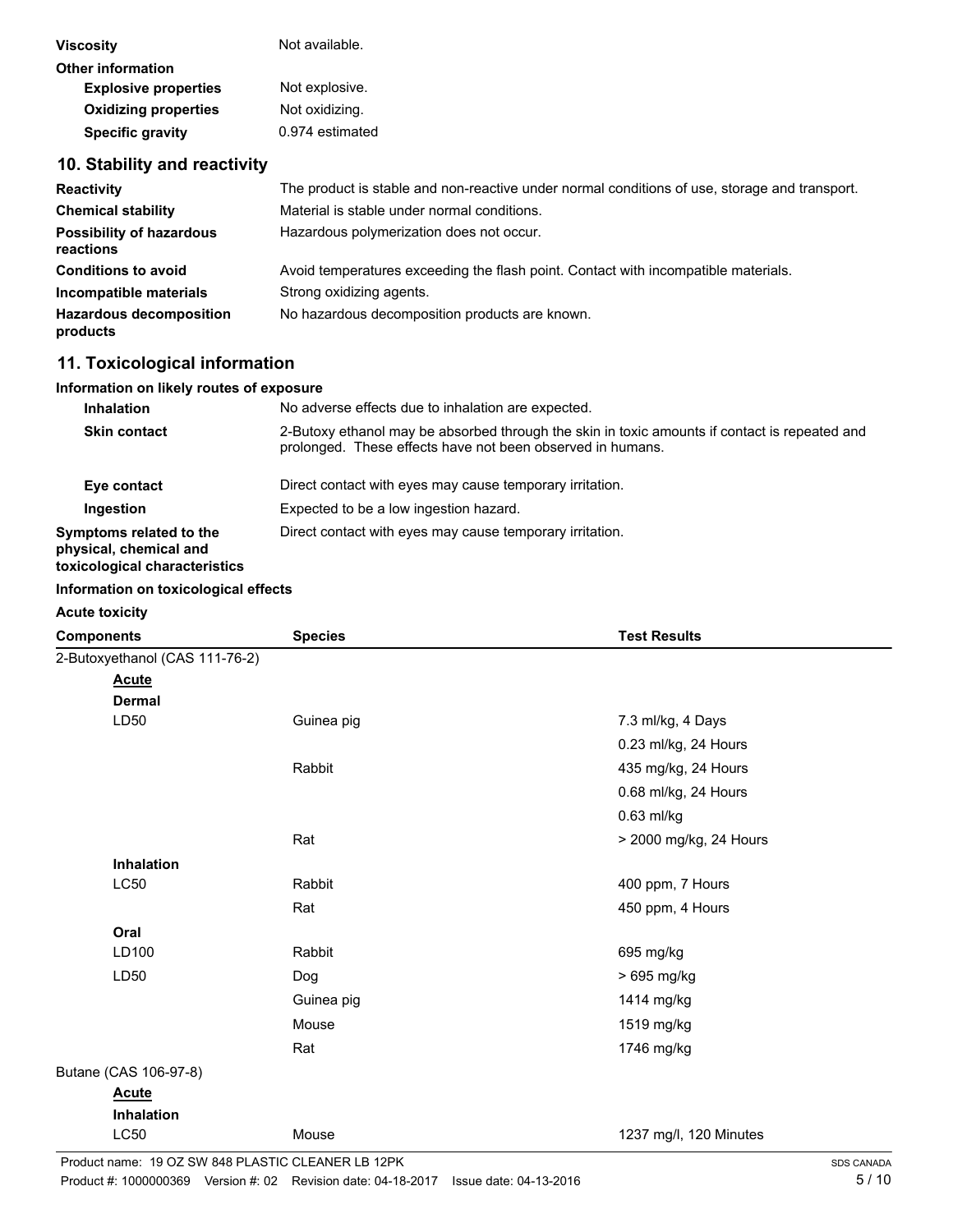| <b>Viscosity</b>                             | Not available.                                                                                |
|----------------------------------------------|-----------------------------------------------------------------------------------------------|
| <b>Other information</b>                     |                                                                                               |
| <b>Explosive properties</b>                  | Not explosive.                                                                                |
| <b>Oxidizing properties</b>                  | Not oxidizing.                                                                                |
| <b>Specific gravity</b>                      | 0.974 estimated                                                                               |
| 10. Stability and reactivity                 |                                                                                               |
| <b>Reactivity</b>                            | The product is stable and non-reactive under normal conditions of use, storage and transport. |
| <b>Chemical stability</b>                    | Material is stable under normal conditions.                                                   |
| <b>Possibility of hazardous</b><br>reactions | Hazardous polymerization does not occur.                                                      |

| <b>Conditions to avoid</b>                 | Avoid temperatures exceeding the flash point. Contact with incompatible materials. |
|--------------------------------------------|------------------------------------------------------------------------------------|
| Incompatible materials                     | Strong oxidizing agents.                                                           |
| <b>Hazardous decomposition</b><br>products | No hazardous decomposition products are known.                                     |

## **11. Toxicological information**

#### **Information on likely routes of exposure**

| <b>Inhalation</b>                                                                  | No adverse effects due to inhalation are expected.                                                                                                          |
|------------------------------------------------------------------------------------|-------------------------------------------------------------------------------------------------------------------------------------------------------------|
| <b>Skin contact</b>                                                                | 2-Butoxy ethanol may be absorbed through the skin in toxic amounts if contact is repeated and<br>prolonged. These effects have not been observed in humans. |
| Eye contact                                                                        | Direct contact with eyes may cause temporary irritation.                                                                                                    |
| Ingestion                                                                          | Expected to be a low ingestion hazard.                                                                                                                      |
| Symptoms related to the<br>physical, chemical and<br>toxicological characteristics | Direct contact with eyes may cause temporary irritation.                                                                                                    |

#### **Information on toxicological effects**

|  | <b>Acute toxicity</b> |
|--|-----------------------|
|--|-----------------------|

| <b>Components</b>              | <b>Species</b> | <b>Test Results</b>    |
|--------------------------------|----------------|------------------------|
| 2-Butoxyethanol (CAS 111-76-2) |                |                        |
| <b>Acute</b>                   |                |                        |
| <b>Dermal</b>                  |                |                        |
| LD50                           | Guinea pig     | 7.3 ml/kg, 4 Days      |
|                                |                | 0.23 ml/kg, 24 Hours   |
|                                | Rabbit         | 435 mg/kg, 24 Hours    |
|                                |                | 0.68 ml/kg, 24 Hours   |
|                                |                | 0.63 ml/kg             |
|                                | Rat            | > 2000 mg/kg, 24 Hours |
| Inhalation                     |                |                        |
| <b>LC50</b>                    | Rabbit         | 400 ppm, 7 Hours       |
|                                | Rat            | 450 ppm, 4 Hours       |
| Oral                           |                |                        |
| LD100                          | Rabbit         | 695 mg/kg              |
| LD50                           | Dog            | > 695 mg/kg            |
|                                | Guinea pig     | 1414 mg/kg             |
|                                | Mouse          | 1519 mg/kg             |
|                                | Rat            | 1746 mg/kg             |
| Butane (CAS 106-97-8)          |                |                        |
| <b>Acute</b>                   |                |                        |
| <b>Inhalation</b>              |                |                        |
| <b>LC50</b>                    | Mouse          | 1237 mg/l, 120 Minutes |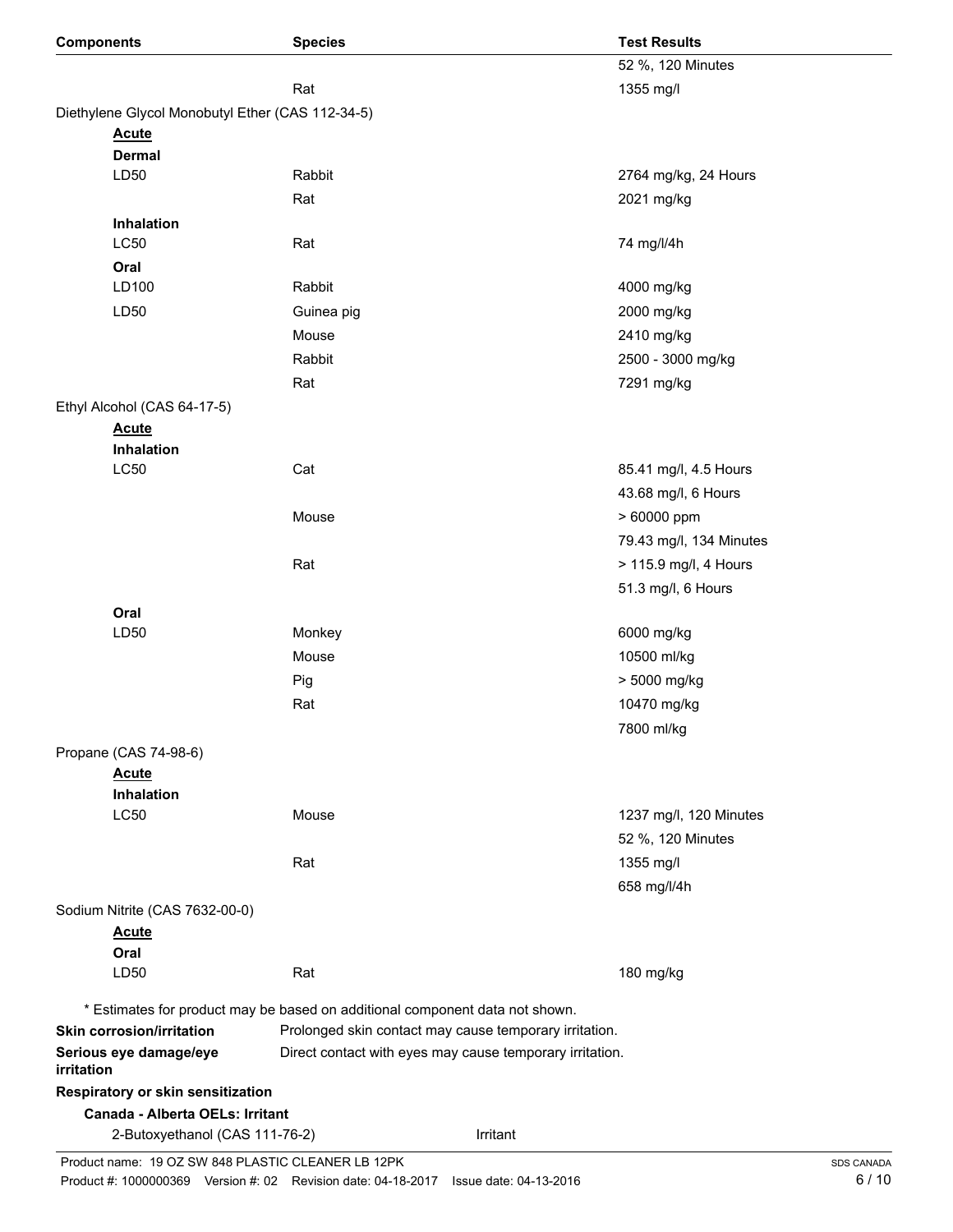| <b>Components</b>                                | <b>Species</b>                                                               | <b>Test Results</b>      |
|--------------------------------------------------|------------------------------------------------------------------------------|--------------------------|
|                                                  |                                                                              | 52 %, 120 Minutes        |
|                                                  | Rat                                                                          | 1355 mg/l                |
| Diethylene Glycol Monobutyl Ether (CAS 112-34-5) |                                                                              |                          |
| <b>Acute</b>                                     |                                                                              |                          |
| <b>Dermal</b>                                    |                                                                              |                          |
| LD50                                             | Rabbit                                                                       | 2764 mg/kg, 24 Hours     |
|                                                  | Rat                                                                          | 2021 mg/kg               |
| Inhalation                                       |                                                                              |                          |
| <b>LC50</b>                                      | Rat                                                                          | 74 mg/l/4h               |
| Oral<br>LD100                                    | Rabbit                                                                       |                          |
| LD50                                             |                                                                              | 4000 mg/kg<br>2000 mg/kg |
|                                                  | Guinea pig                                                                   |                          |
|                                                  | Mouse                                                                        | 2410 mg/kg               |
|                                                  | Rabbit                                                                       | 2500 - 3000 mg/kg        |
|                                                  | Rat                                                                          | 7291 mg/kg               |
| Ethyl Alcohol (CAS 64-17-5)                      |                                                                              |                          |
| <b>Acute</b><br>Inhalation                       |                                                                              |                          |
| <b>LC50</b>                                      | Cat                                                                          | 85.41 mg/l, 4.5 Hours    |
|                                                  |                                                                              | 43.68 mg/l, 6 Hours      |
|                                                  | Mouse                                                                        | > 60000 ppm              |
|                                                  |                                                                              | 79.43 mg/l, 134 Minutes  |
|                                                  | Rat                                                                          | > 115.9 mg/l, 4 Hours    |
|                                                  |                                                                              | 51.3 mg/l, 6 Hours       |
| Oral                                             |                                                                              |                          |
| LD50                                             | Monkey                                                                       | 6000 mg/kg               |
|                                                  | Mouse                                                                        | 10500 ml/kg              |
|                                                  | Pig                                                                          | > 5000 mg/kg             |
|                                                  | Rat                                                                          | 10470 mg/kg              |
|                                                  |                                                                              | 7800 ml/kg               |
| Propane (CAS 74-98-6)                            |                                                                              |                          |
| <b>Acute</b>                                     |                                                                              |                          |
| Inhalation                                       |                                                                              |                          |
| <b>LC50</b>                                      | Mouse                                                                        | 1237 mg/l, 120 Minutes   |
|                                                  |                                                                              | 52 %, 120 Minutes        |
|                                                  | Rat                                                                          | 1355 mg/l                |
|                                                  |                                                                              | 658 mg/l/4h              |
| Sodium Nitrite (CAS 7632-00-0)                   |                                                                              |                          |
| <b>Acute</b>                                     |                                                                              |                          |
| Oral                                             |                                                                              |                          |
| LD <sub>50</sub>                                 | Rat                                                                          | 180 mg/kg                |
|                                                  | * Estimates for product may be based on additional component data not shown. |                          |
| <b>Skin corrosion/irritation</b>                 | Prolonged skin contact may cause temporary irritation.                       |                          |
| Serious eye damage/eye<br>irritation             | Direct contact with eyes may cause temporary irritation.                     |                          |
| Respiratory or skin sensitization                |                                                                              |                          |
| Canada - Alberta OELs: Irritant                  |                                                                              |                          |
| 2-Butoxyethanol (CAS 111-76-2)                   |                                                                              | Irritant                 |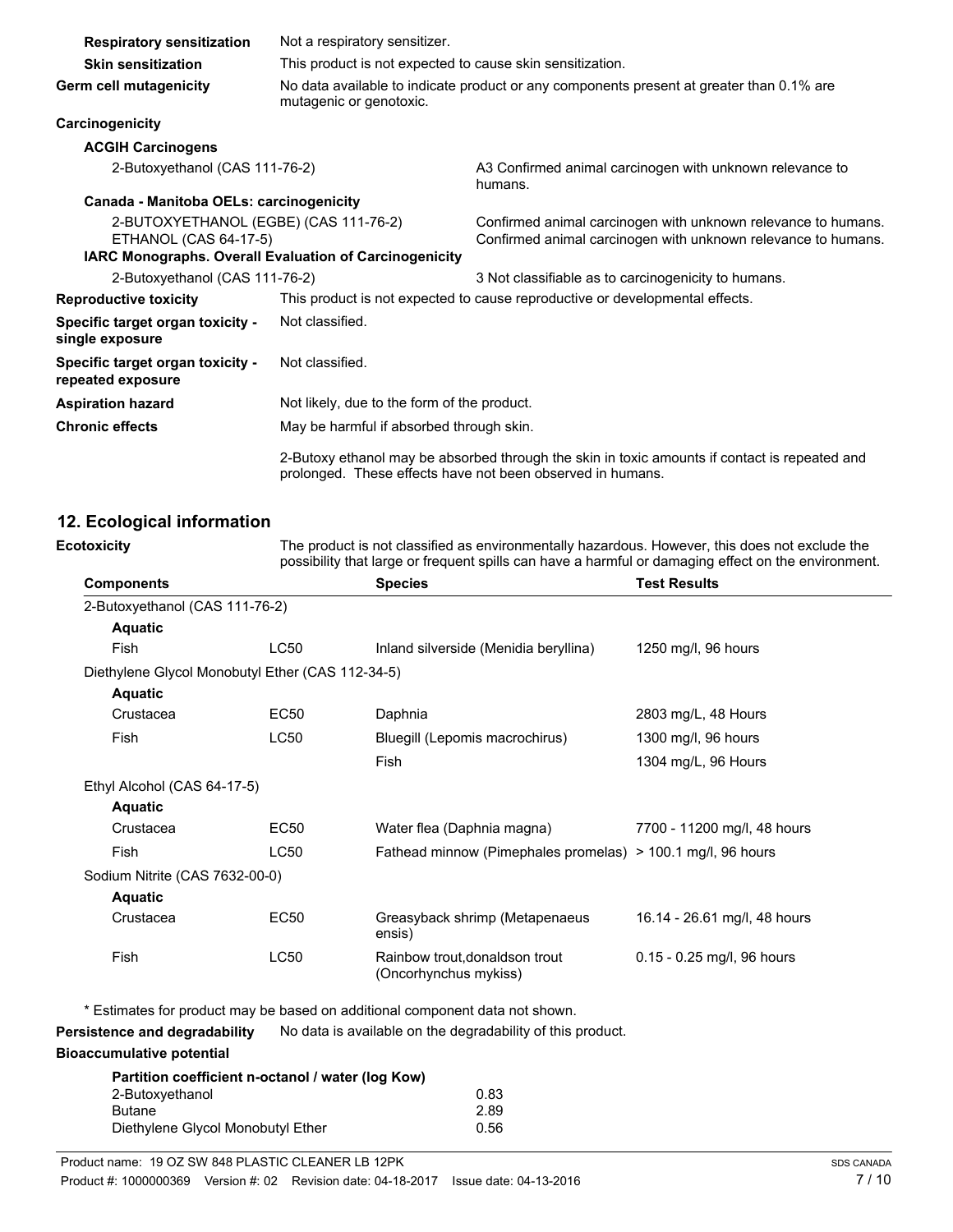| <b>Respiratory sensitization</b>                                      | Not a respiratory sensitizer.                                                                                       |                                                                                                                                                             |
|-----------------------------------------------------------------------|---------------------------------------------------------------------------------------------------------------------|-------------------------------------------------------------------------------------------------------------------------------------------------------------|
| <b>Skin sensitization</b>                                             | This product is not expected to cause skin sensitization.                                                           |                                                                                                                                                             |
| Germ cell mutagenicity                                                | No data available to indicate product or any components present at greater than 0.1% are<br>mutagenic or genotoxic. |                                                                                                                                                             |
| Carcinogenicity                                                       |                                                                                                                     |                                                                                                                                                             |
| <b>ACGIH Carcinogens</b>                                              |                                                                                                                     |                                                                                                                                                             |
| 2-Butoxyethanol (CAS 111-76-2)                                        |                                                                                                                     | A3 Confirmed animal carcinogen with unknown relevance to<br>humans.                                                                                         |
| Canada - Manitoba OELs: carcinogenicity                               |                                                                                                                     |                                                                                                                                                             |
| 2-BUTOXYETHANOL (EGBE) (CAS 111-76-2)<br><b>ETHANOL (CAS 64-17-5)</b> |                                                                                                                     | Confirmed animal carcinogen with unknown relevance to humans.<br>Confirmed animal carcinogen with unknown relevance to humans.                              |
| <b>IARC Monographs. Overall Evaluation of Carcinogenicity</b>         |                                                                                                                     |                                                                                                                                                             |
| 2-Butoxyethanol (CAS 111-76-2)                                        |                                                                                                                     | 3 Not classifiable as to carcinogenicity to humans.                                                                                                         |
| <b>Reproductive toxicity</b>                                          |                                                                                                                     | This product is not expected to cause reproductive or developmental effects.                                                                                |
| Specific target organ toxicity -<br>single exposure                   | Not classified.                                                                                                     |                                                                                                                                                             |
| Specific target organ toxicity -<br>repeated exposure                 | Not classified.                                                                                                     |                                                                                                                                                             |
| <b>Aspiration hazard</b>                                              | Not likely, due to the form of the product.                                                                         |                                                                                                                                                             |
| <b>Chronic effects</b>                                                | May be harmful if absorbed through skin.                                                                            |                                                                                                                                                             |
|                                                                       |                                                                                                                     | 2-Butoxy ethanol may be absorbed through the skin in toxic amounts if contact is repeated and<br>prolonged. These effects have not been observed in humans. |

#### **12. Ecological information**

The product is not classified as environmentally hazardous. However, this does not exclude the possibility that large or frequent spills can have a harmful or damaging effect on the environment. **Ecotoxicity Components Species Test Results** 2-Butoxyethanol (CAS 111-76-2) **Aquatic** Fish LC50 Inland silverside (Menidia beryllina) 1250 mg/l, 96 hours Diethylene Glycol Monobutyl Ether (CAS 112-34-5) **Aquatic** Crustacea EC50 Daphnia 2803 mg/L, 48 Hours Fish LC50 Bluegill (Lepomis macrochirus) 1300 mg/l, 96 hours Fish 1304 mg/L, 96 Hours Ethyl Alcohol (CAS 64-17-5) **Aquatic** Crustacea EC50 Water flea (Daphnia magna) 7700 - 11200 mg/l, 48 hours Fish LC50 Fathead minnow (Pimephales promelas) > 100.1 mg/l, 96 hours Sodium Nitrite (CAS 7632-00-0) **Aquatic** Crustacea EC50 Greasyback shrimp (Metapenaeus 16.14 - 26.61 mg/l, 48 hours ensis)

Fish LC50 Rainbow trout,donaldson trout 0.15 - 0.25 mg/l, 96 hours (Oncorhynchus mykiss)

\* Estimates for product may be based on additional component data not shown.

**Persistence and degradability** No data is available on the degradability of this product.

#### **Bioaccumulative potential**

| Partition coefficient n-octanol / water (log Kow) |      |
|---------------------------------------------------|------|
| 2-Butoxyethanol                                   | 0.83 |
| <b>Butane</b>                                     | 2.89 |
| Diethylene Glycol Monobutyl Ether                 | 0.56 |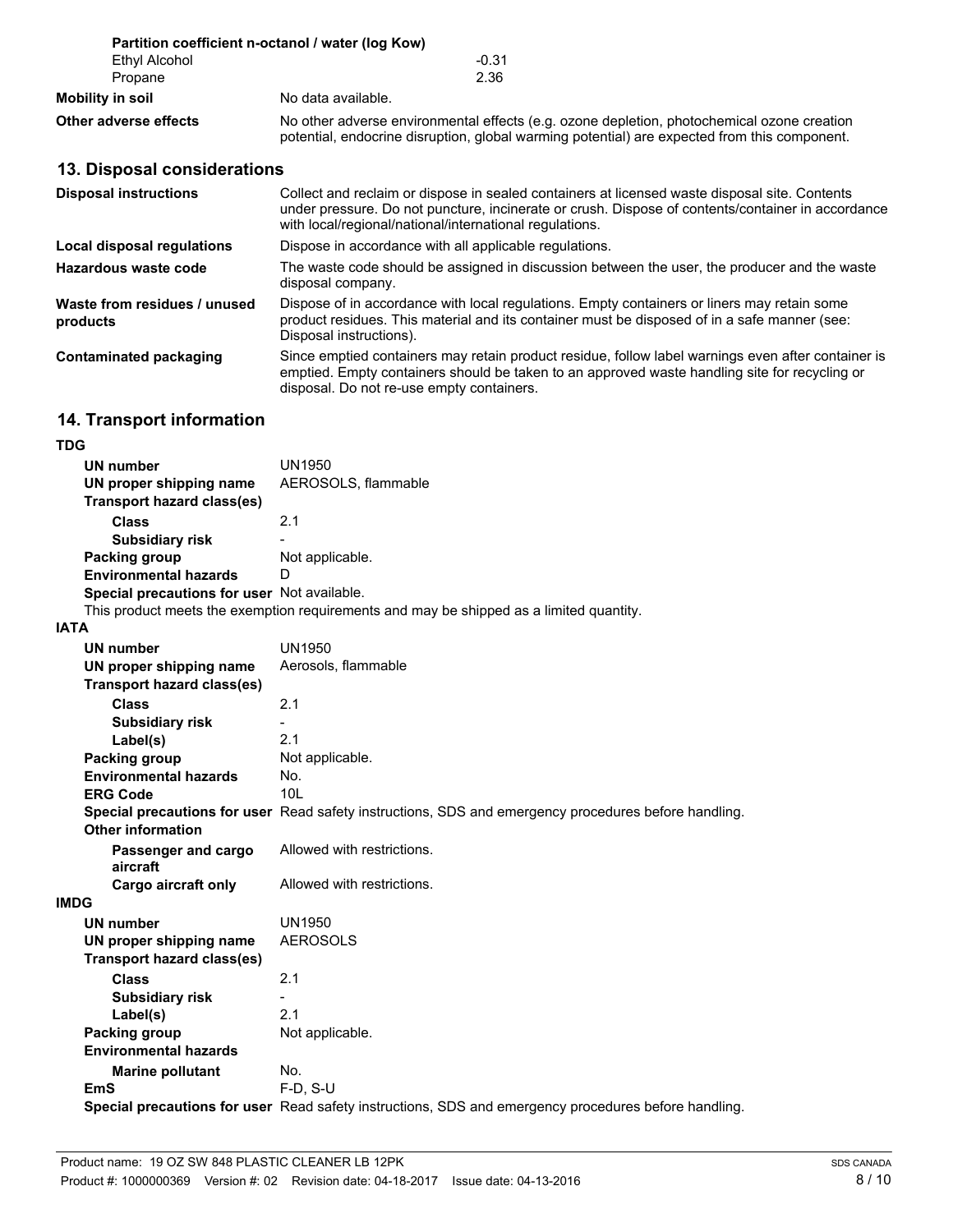|                       | Partition coefficient n-octanol / water (log Kow)                                                                                                                                          |
|-----------------------|--------------------------------------------------------------------------------------------------------------------------------------------------------------------------------------------|
| Ethyl Alcohol         | $-0.31$                                                                                                                                                                                    |
| Propane               | 2.36                                                                                                                                                                                       |
| Mobility in soil      | No data available.                                                                                                                                                                         |
| Other adverse effects | No other adverse environmental effects (e.g. ozone depletion, photochemical ozone creation<br>potential, endocrine disruption, global warming potential) are expected from this component. |

## **13. Disposal considerations**

| <b>Disposal instructions</b>             | Collect and reclaim or dispose in sealed containers at licensed waste disposal site. Contents<br>under pressure. Do not puncture, incinerate or crush. Dispose of contents/container in accordance<br>with local/regional/national/international regulations. |
|------------------------------------------|---------------------------------------------------------------------------------------------------------------------------------------------------------------------------------------------------------------------------------------------------------------|
| Local disposal regulations               | Dispose in accordance with all applicable regulations.                                                                                                                                                                                                        |
| Hazardous waste code                     | The waste code should be assigned in discussion between the user, the producer and the waste<br>disposal company.                                                                                                                                             |
| Waste from residues / unused<br>products | Dispose of in accordance with local regulations. Empty containers or liners may retain some<br>product residues. This material and its container must be disposed of in a safe manner (see:<br>Disposal instructions).                                        |
| Contaminated packaging                   | Since emptied containers may retain product residue, follow label warnings even after container is<br>emptied. Empty containers should be taken to an approved waste handling site for recycling or<br>disposal. Do not re-use empty containers.              |

## **14. Transport information**

#### **TDG**

| ◡                                           |                                                                                         |
|---------------------------------------------|-----------------------------------------------------------------------------------------|
| UN number                                   | UN1950                                                                                  |
| UN proper shipping name                     | AEROSOLS, flammable                                                                     |
| Transport hazard class(es)                  |                                                                                         |
| <b>Class</b>                                | 2.1                                                                                     |
| <b>Subsidiary risk</b>                      | -                                                                                       |
| Packing group                               | Not applicable.                                                                         |
| <b>Environmental hazards</b>                | D                                                                                       |
| Special precautions for user Not available. |                                                                                         |
|                                             | This product meets the exemption requirements and may be shipped as a limited quantity. |

### **IATA**

| ם ו תו                            |                                                                                                      |
|-----------------------------------|------------------------------------------------------------------------------------------------------|
| <b>UN number</b>                  | UN1950                                                                                               |
| UN proper shipping name           | Aerosols, flammable                                                                                  |
| <b>Transport hazard class(es)</b> |                                                                                                      |
| <b>Class</b>                      | 2.1                                                                                                  |
| <b>Subsidiary risk</b>            |                                                                                                      |
| Label(s)                          | 2.1                                                                                                  |
| Packing group                     | Not applicable.                                                                                      |
| <b>Environmental hazards</b>      | No.                                                                                                  |
| <b>ERG Code</b>                   | 10I                                                                                                  |
| <b>Other information</b>          | Special precautions for user Read safety instructions, SDS and emergency procedures before handling. |
| Passenger and cargo<br>aircraft   | Allowed with restrictions.                                                                           |
| Cargo aircraft only               | Allowed with restrictions.                                                                           |
| <b>IMDG</b>                       |                                                                                                      |
| <b>UN number</b>                  | UN1950                                                                                               |
| UN proper shipping name           | <b>AEROSOLS</b>                                                                                      |
| Transport hazard class(es)        |                                                                                                      |
| Class                             | 2.1                                                                                                  |
| <b>Subsidiary risk</b>            |                                                                                                      |
| Label(s)                          | 2.1                                                                                                  |
| Packing group                     | Not applicable.                                                                                      |
| <b>Environmental hazards</b>      |                                                                                                      |
| <b>Marine pollutant</b>           | No.                                                                                                  |
| <b>EmS</b>                        | $F-D. S-U$                                                                                           |
|                                   | Special precautions for user Read safety instructions, SDS and emergency procedures before handling. |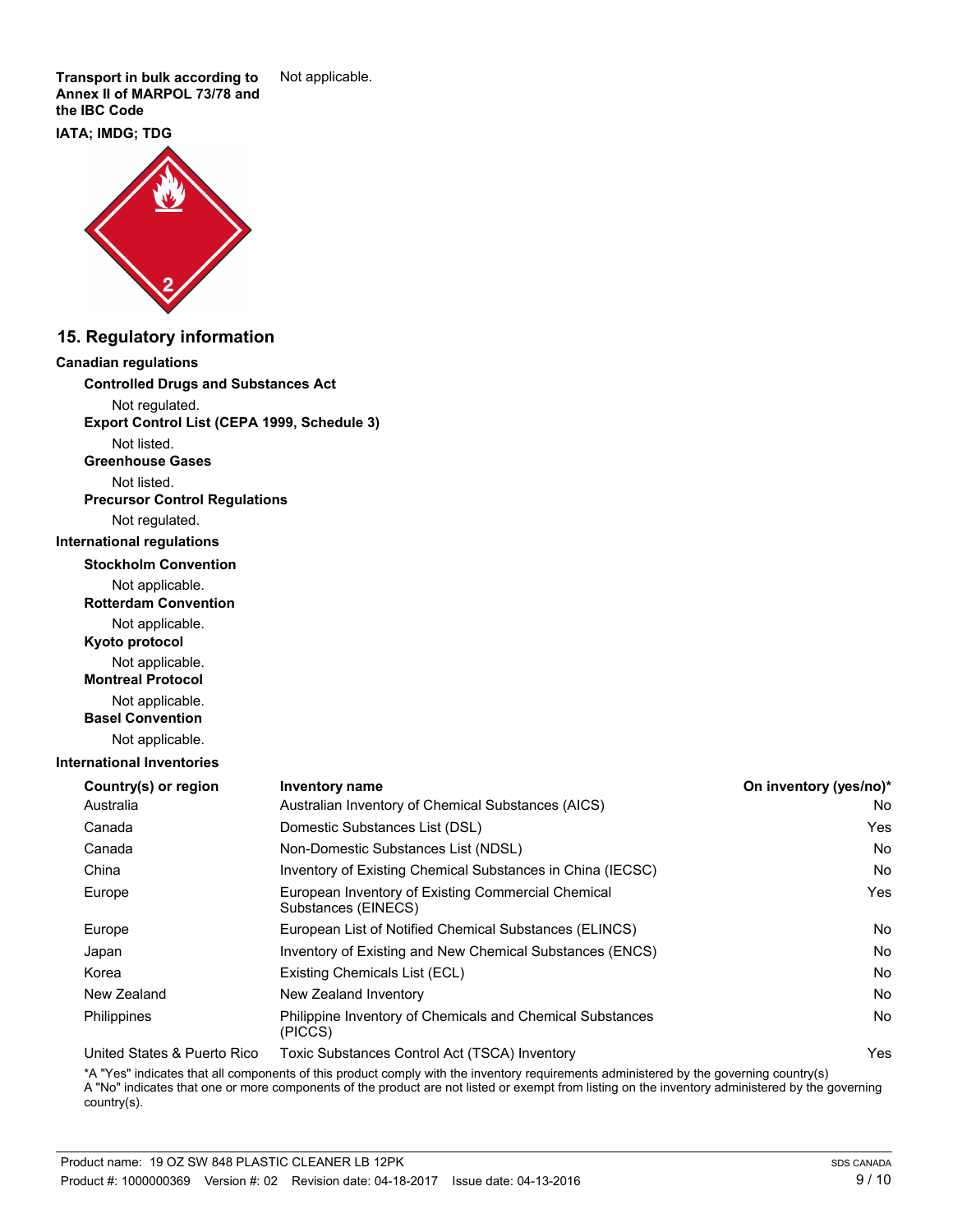**Transport in bulk according to** Not applicable. **Annex II of MARPOL 73/78 and the IBC Code**

#### **IATA; IMDG; TDG**



#### **15. Regulatory information**

#### **Canadian regulations**

**Controlled Drugs and Substances Act**

Not regulated.

**Export Control List (CEPA 1999, Schedule 3)**

Not listed.

**Greenhouse Gases**

Not listed.

**Precursor Control Regulations**

Not regulated.

#### **International regulations**

**Stockholm Convention**

Not applicable.

**Rotterdam Convention**

Not applicable.

**Kyoto protocol**

Not applicable.

**Montreal Protocol**

Not applicable.

**Basel Convention**

Not applicable.

#### **International Inventories**

| Country(s) or region        | <b>Inventory name</b>                                                     | On inventory (yes/no)* |
|-----------------------------|---------------------------------------------------------------------------|------------------------|
| Australia                   | Australian Inventory of Chemical Substances (AICS)                        | No.                    |
| Canada                      | Domestic Substances List (DSL)                                            | Yes                    |
| Canada                      | Non-Domestic Substances List (NDSL)                                       | No.                    |
| China                       | Inventory of Existing Chemical Substances in China (IECSC)                | No.                    |
| Europe                      | European Inventory of Existing Commercial Chemical<br>Substances (EINECS) | Yes                    |
| Europe                      | European List of Notified Chemical Substances (ELINCS)                    | No.                    |
| Japan                       | Inventory of Existing and New Chemical Substances (ENCS)                  | No.                    |
| Korea                       | Existing Chemicals List (ECL)                                             | No.                    |
| New Zealand                 | New Zealand Inventory                                                     | No.                    |
| Philippines                 | Philippine Inventory of Chemicals and Chemical Substances<br>(PICCS)      | No.                    |
| United States & Puerto Rico | Toxic Substances Control Act (TSCA) Inventory                             | Yes                    |

\*A "Yes" indicates that all components of this product comply with the inventory requirements administered by the governing country(s) A "No" indicates that one or more components of the product are not listed or exempt from listing on the inventory administered by the governing country(s).